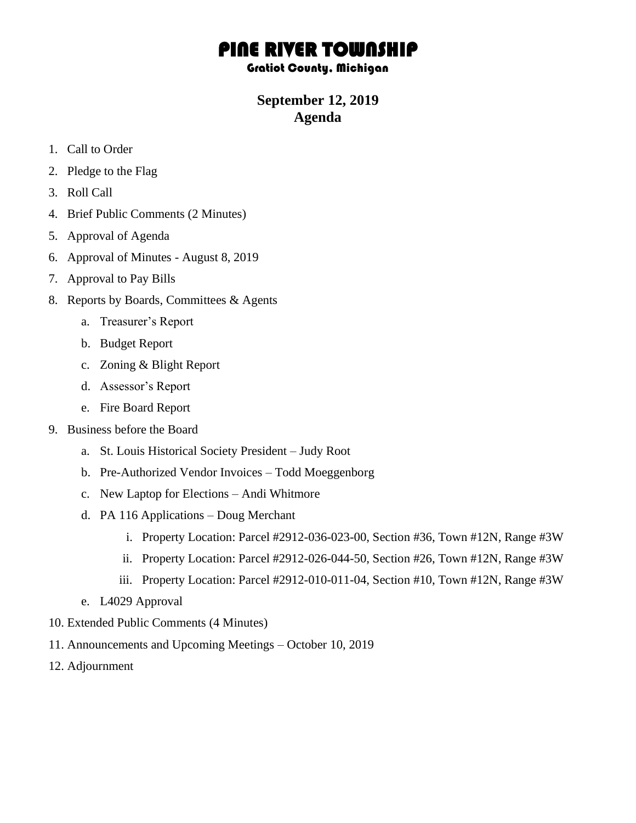## PINE RIVER TOWNSHIP

## Gratiot County, Michigan

## **September 12, 2019 Agenda**

- 1. Call to Order
- 2. Pledge to the Flag
- 3. Roll Call
- 4. Brief Public Comments (2 Minutes)
- 5. Approval of Agenda
- 6. Approval of Minutes August 8, 2019
- 7. Approval to Pay Bills
- 8. Reports by Boards, Committees & Agents
	- a. Treasurer's Report
	- b. Budget Report
	- c. Zoning & Blight Report
	- d. Assessor's Report
	- e. Fire Board Report
- 9. Business before the Board
	- a. St. Louis Historical Society President Judy Root
	- b. Pre-Authorized Vendor Invoices Todd Moeggenborg
	- c. New Laptop for Elections Andi Whitmore
	- d. PA 116 Applications Doug Merchant
		- i. Property Location: Parcel #2912-036-023-00, Section #36, Town #12N, Range #3W
		- ii. Property Location: Parcel #2912-026-044-50, Section #26, Town #12N, Range #3W
		- iii. Property Location: Parcel #2912-010-011-04, Section #10, Town #12N, Range #3W
	- e. L4029 Approval
- 10. Extended Public Comments (4 Minutes)
- 11. Announcements and Upcoming Meetings October 10, 2019
- 12. Adjournment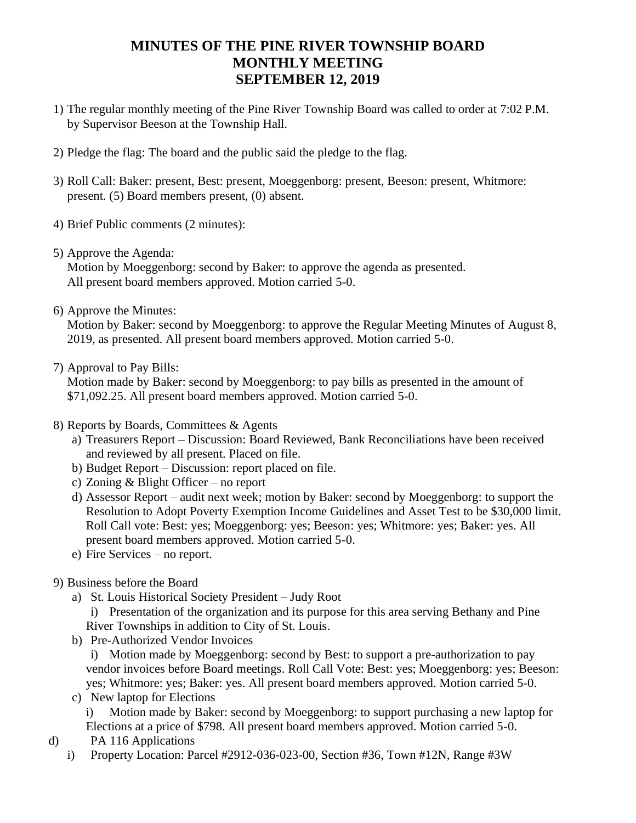## **MINUTES OF THE PINE RIVER TOWNSHIP BOARD MONTHLY MEETING SEPTEMBER 12, 2019**

- 1) The regular monthly meeting of the Pine River Township Board was called to order at 7:02 P.M. by Supervisor Beeson at the Township Hall.
- 2) Pledge the flag: The board and the public said the pledge to the flag.
- 3) Roll Call: Baker: present, Best: present, Moeggenborg: present, Beeson: present, Whitmore: present. (5) Board members present, (0) absent.
- 4) Brief Public comments (2 minutes):
- 5) Approve the Agenda:

Motion by Moeggenborg: second by Baker: to approve the agenda as presented. All present board members approved. Motion carried 5-0.

6) Approve the Minutes:

Motion by Baker: second by Moeggenborg: to approve the Regular Meeting Minutes of August 8, 2019, as presented. All present board members approved. Motion carried 5-0.

7) Approval to Pay Bills:

Motion made by Baker: second by Moeggenborg: to pay bills as presented in the amount of \$71,092.25. All present board members approved. Motion carried 5-0.

- 8) Reports by Boards, Committees & Agents
	- a) Treasurers Report Discussion: Board Reviewed, Bank Reconciliations have been received and reviewed by all present. Placed on file.
	- b) Budget Report Discussion: report placed on file.
	- c) Zoning & Blight Officer no report
	- d) Assessor Report audit next week; motion by Baker: second by Moeggenborg: to support the Resolution to Adopt Poverty Exemption Income Guidelines and Asset Test to be \$30,000 limit. Roll Call vote: Best: yes; Moeggenborg: yes; Beeson: yes; Whitmore: yes; Baker: yes. All present board members approved. Motion carried 5-0.
	- e) Fire Services no report.
- 9) Business before the Board
	- a) St. Louis Historical Society President Judy Root i) Presentation of the organization and its purpose for this area serving Bethany and Pine River Townships in addition to City of St. Louis.
	- b) Pre-Authorized Vendor Invoices i) Motion made by Moeggenborg: second by Best: to support a pre-authorization to pay vendor invoices before Board meetings. Roll Call Vote: Best: yes; Moeggenborg: yes; Beeson:
	- yes; Whitmore: yes; Baker: yes. All present board members approved. Motion carried 5-0. c) New laptop for Elections

i) Motion made by Baker: second by Moeggenborg: to support purchasing a new laptop for Elections at a price of \$798. All present board members approved. Motion carried 5-0.

- d) PA 116 Applications
	- i) Property Location: Parcel #2912-036-023-00, Section #36, Town #12N, Range #3W